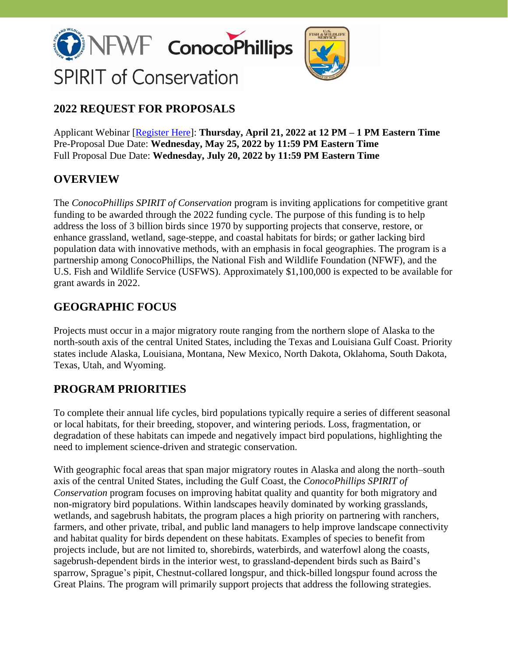



# **2022 REQUEST FOR PROPOSALS**

Applicant Webinar [\[Register Here\]](https://attendee.gotowebinar.com/register/3404485345304706827): **Thursday, April 21, 2022 at 12 PM – 1 PM Eastern Time** Pre-Proposal Due Date: **Wednesday, May 25, 2022 by 11:59 PM Eastern Time** Full Proposal Due Date: **Wednesday, July 20, 2022 by 11:59 PM Eastern Time**

# **OVERVIEW**

The *ConocoPhillips SPIRIT of Conservation* program is inviting applications for competitive grant funding to be awarded through the 2022 funding cycle. The purpose of this funding is to help address the loss of 3 billion birds since 1970 by supporting projects that conserve, restore, or enhance grassland, wetland, sage-steppe, and coastal habitats for birds; or gather lacking bird population data with innovative methods, with an emphasis in focal geographies. The program is a partnership among ConocoPhillips, the National Fish and Wildlife Foundation (NFWF), and the U.S. Fish and Wildlife Service (USFWS). Approximately \$1,100,000 is expected to be available for grant awards in 2022.

# **GEOGRAPHIC FOCUS**

Projects must occur in a major migratory route ranging from the northern slope of Alaska to the north-south axis of the central United States, including the Texas and Louisiana Gulf Coast. Priority states include Alaska, Louisiana, Montana, New Mexico, North Dakota, Oklahoma, South Dakota, Texas, Utah, and Wyoming.

# **PROGRAM PRIORITIES**

To complete their annual life cycles, bird populations typically require a series of different seasonal or local habitats, for their breeding, stopover, and wintering periods. Loss, fragmentation, or degradation of these habitats can impede and negatively impact bird populations, highlighting the need to implement science-driven and strategic conservation.

With geographic focal areas that span major migratory routes in Alaska and along the north–south axis of the central United States, including the Gulf Coast, the *ConocoPhillips SPIRIT of Conservation* program focuses on improving habitat quality and quantity for both migratory and non-migratory bird populations. Within landscapes heavily dominated by working grasslands, wetlands, and sagebrush habitats, the program places a high priority on partnering with ranchers, farmers, and other private, tribal, and public land managers to help improve landscape connectivity and habitat quality for birds dependent on these habitats. Examples of species to benefit from projects include, but are not limited to, shorebirds, waterbirds, and waterfowl along the coasts, sagebrush-dependent birds in the interior west, to grassland-dependent birds such as Baird's sparrow, Sprague's pipit, Chestnut-collared longspur, and thick-billed longspur found across the Great Plains. The program will primarily support projects that address the following strategies.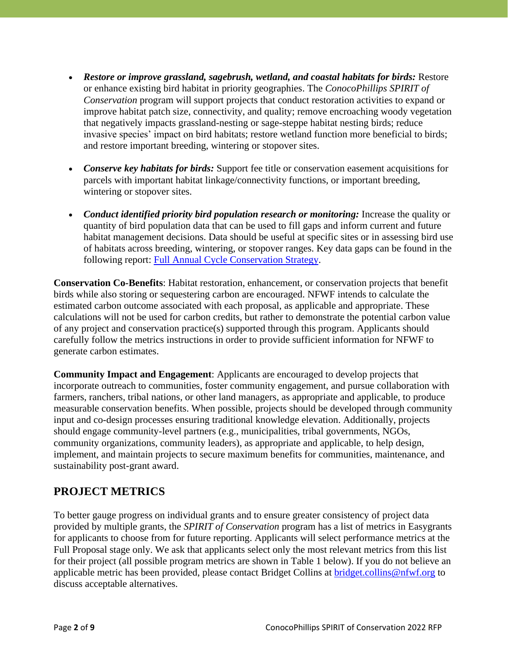- *Restore or improve grassland, sagebrush, wetland, and coastal habitats for birds:* Restore or enhance existing bird habitat in priority geographies. The *ConocoPhillips SPIRIT of Conservation* program will support projects that conduct restoration activities to expand or improve habitat patch size, connectivity, and quality; remove encroaching woody vegetation that negatively impacts grassland-nesting or sage-steppe habitat nesting birds; reduce invasive species' impact on bird habitats; restore wetland function more beneficial to birds; and restore important breeding, wintering or stopover sites.
- *Conserve key habitats for birds:* Support fee title or conservation easement acquisitions for parcels with important habitat linkage/connectivity functions, or important breeding, wintering or stopover sites.
- *Conduct identified priority bird population research or monitoring:* Increase the quality or quantity of bird population data that can be used to fill gaps and inform current and future habitat management decisions. Data should be useful at specific sites or in assessing bird use of habitats across breeding, wintering, or stopover ranges. Key data gaps can be found in the following report: [Full Annual Cycle Conservation Strategy.](https://ppjv.org/assets/pdf/SPPI/Conservation_strategy_for_Grassland_birds.pdf)

**Conservation Co-Benefits**: Habitat restoration, enhancement, or conservation projects that benefit birds while also storing or sequestering carbon are encouraged. NFWF intends to calculate the estimated carbon outcome associated with each proposal, as applicable and appropriate. These calculations will not be used for carbon credits, but rather to demonstrate the potential carbon value of any project and conservation practice(s) supported through this program. Applicants should carefully follow the metrics instructions in order to provide sufficient information for NFWF to generate carbon estimates.

**Community Impact and Engagement**: Applicants are encouraged to develop projects that incorporate outreach to communities, foster community engagement, and pursue collaboration with farmers, ranchers, tribal nations, or other land managers, as appropriate and applicable, to produce measurable conservation benefits. When possible, projects should be developed through community input and co-design processes ensuring traditional knowledge elevation. Additionally, projects should engage community-level partners (e.g., municipalities, tribal governments, NGOs, community organizations, community leaders), as appropriate and applicable, to help design, implement, and maintain projects to secure maximum benefits for communities, maintenance, and sustainability post-grant award.

# **PROJECT METRICS**

To better gauge progress on individual grants and to ensure greater consistency of project data provided by multiple grants, the *SPIRIT of Conservation* program has a list of metrics in Easygrants for applicants to choose from for future reporting. Applicants will select performance metrics at the Full Proposal stage only. We ask that applicants select only the most relevant metrics from this list for their project (all possible program metrics are shown in Table 1 below). If you do not believe an applicable metric has been provided, please contact Bridget Collins at [bridget.collins@nfwf.org](mailto:bridget.collins@nfwf.org) to discuss acceptable alternatives.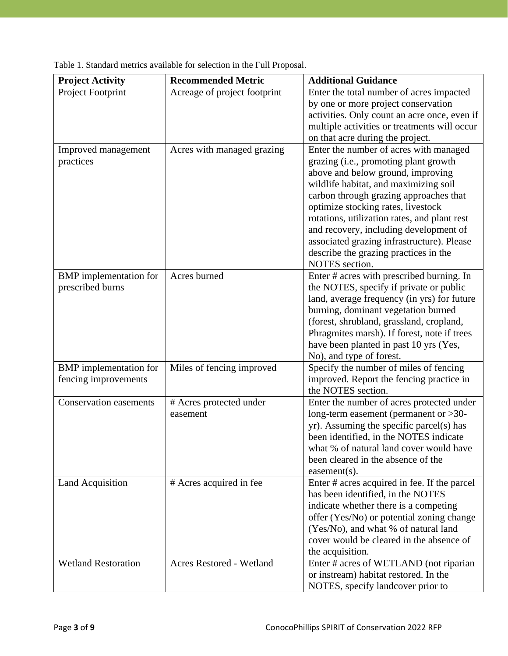| Acreage of project footprint<br>Project Footprint<br>Enter the total number of acres impacted<br>by one or more project conservation<br>activities. Only count an acre once, even if<br>multiple activities or treatments will occur<br>on that acre during the project.<br>Enter the number of acres with managed<br>Acres with managed grazing<br>Improved management<br>grazing (i.e., promoting plant growth<br>practices<br>above and below ground, improving<br>wildlife habitat, and maximizing soil<br>carbon through grazing approaches that<br>optimize stocking rates, livestock<br>rotations, utilization rates, and plant rest<br>and recovery, including development of | <b>Project Activity</b> | <b>Recommended Metric</b> | <b>Additional Guidance</b>                 |
|---------------------------------------------------------------------------------------------------------------------------------------------------------------------------------------------------------------------------------------------------------------------------------------------------------------------------------------------------------------------------------------------------------------------------------------------------------------------------------------------------------------------------------------------------------------------------------------------------------------------------------------------------------------------------------------|-------------------------|---------------------------|--------------------------------------------|
|                                                                                                                                                                                                                                                                                                                                                                                                                                                                                                                                                                                                                                                                                       |                         |                           |                                            |
|                                                                                                                                                                                                                                                                                                                                                                                                                                                                                                                                                                                                                                                                                       |                         |                           |                                            |
|                                                                                                                                                                                                                                                                                                                                                                                                                                                                                                                                                                                                                                                                                       |                         |                           |                                            |
|                                                                                                                                                                                                                                                                                                                                                                                                                                                                                                                                                                                                                                                                                       |                         |                           |                                            |
|                                                                                                                                                                                                                                                                                                                                                                                                                                                                                                                                                                                                                                                                                       |                         |                           |                                            |
|                                                                                                                                                                                                                                                                                                                                                                                                                                                                                                                                                                                                                                                                                       |                         |                           |                                            |
|                                                                                                                                                                                                                                                                                                                                                                                                                                                                                                                                                                                                                                                                                       |                         |                           |                                            |
|                                                                                                                                                                                                                                                                                                                                                                                                                                                                                                                                                                                                                                                                                       |                         |                           |                                            |
|                                                                                                                                                                                                                                                                                                                                                                                                                                                                                                                                                                                                                                                                                       |                         |                           |                                            |
|                                                                                                                                                                                                                                                                                                                                                                                                                                                                                                                                                                                                                                                                                       |                         |                           |                                            |
|                                                                                                                                                                                                                                                                                                                                                                                                                                                                                                                                                                                                                                                                                       |                         |                           |                                            |
|                                                                                                                                                                                                                                                                                                                                                                                                                                                                                                                                                                                                                                                                                       |                         |                           |                                            |
|                                                                                                                                                                                                                                                                                                                                                                                                                                                                                                                                                                                                                                                                                       |                         |                           |                                            |
|                                                                                                                                                                                                                                                                                                                                                                                                                                                                                                                                                                                                                                                                                       |                         |                           | associated grazing infrastructure). Please |
| describe the grazing practices in the                                                                                                                                                                                                                                                                                                                                                                                                                                                                                                                                                                                                                                                 |                         |                           |                                            |
| NOTES section.                                                                                                                                                                                                                                                                                                                                                                                                                                                                                                                                                                                                                                                                        |                         |                           |                                            |
| <b>BMP</b> implementation for<br>Acres burned<br>Enter # acres with prescribed burning. In                                                                                                                                                                                                                                                                                                                                                                                                                                                                                                                                                                                            |                         |                           |                                            |
| prescribed burns<br>the NOTES, specify if private or public                                                                                                                                                                                                                                                                                                                                                                                                                                                                                                                                                                                                                           |                         |                           |                                            |
| land, average frequency (in yrs) for future                                                                                                                                                                                                                                                                                                                                                                                                                                                                                                                                                                                                                                           |                         |                           |                                            |
| burning, dominant vegetation burned                                                                                                                                                                                                                                                                                                                                                                                                                                                                                                                                                                                                                                                   |                         |                           |                                            |
| (forest, shrubland, grassland, cropland,                                                                                                                                                                                                                                                                                                                                                                                                                                                                                                                                                                                                                                              |                         |                           |                                            |
| Phragmites marsh). If forest, note if trees                                                                                                                                                                                                                                                                                                                                                                                                                                                                                                                                                                                                                                           |                         |                           |                                            |
| have been planted in past 10 yrs (Yes,                                                                                                                                                                                                                                                                                                                                                                                                                                                                                                                                                                                                                                                |                         |                           |                                            |
| No), and type of forest.                                                                                                                                                                                                                                                                                                                                                                                                                                                                                                                                                                                                                                                              |                         |                           |                                            |
| Specify the number of miles of fencing<br><b>BMP</b> implementation for<br>Miles of fencing improved                                                                                                                                                                                                                                                                                                                                                                                                                                                                                                                                                                                  |                         |                           |                                            |
| improved. Report the fencing practice in<br>fencing improvements                                                                                                                                                                                                                                                                                                                                                                                                                                                                                                                                                                                                                      |                         |                           |                                            |
| the NOTES section.                                                                                                                                                                                                                                                                                                                                                                                                                                                                                                                                                                                                                                                                    |                         |                           |                                            |
| <b>Conservation easements</b><br># Acres protected under<br>Enter the number of acres protected under                                                                                                                                                                                                                                                                                                                                                                                                                                                                                                                                                                                 |                         |                           |                                            |
| long-term easement (permanent or $>30$ -<br>easement                                                                                                                                                                                                                                                                                                                                                                                                                                                                                                                                                                                                                                  |                         |                           |                                            |
| yr). Assuming the specific parcel(s) has                                                                                                                                                                                                                                                                                                                                                                                                                                                                                                                                                                                                                                              |                         |                           |                                            |
| been identified, in the NOTES indicate                                                                                                                                                                                                                                                                                                                                                                                                                                                                                                                                                                                                                                                |                         |                           |                                            |
| what % of natural land cover would have                                                                                                                                                                                                                                                                                                                                                                                                                                                                                                                                                                                                                                               |                         |                           |                                            |
| been cleared in the absence of the                                                                                                                                                                                                                                                                                                                                                                                                                                                                                                                                                                                                                                                    |                         |                           |                                            |
| easement(s).<br><b>Land Acquisition</b>                                                                                                                                                                                                                                                                                                                                                                                                                                                                                                                                                                                                                                               |                         |                           |                                            |
| # Acres acquired in fee<br>Enter # acres acquired in fee. If the parcel<br>has been identified, in the NOTES                                                                                                                                                                                                                                                                                                                                                                                                                                                                                                                                                                          |                         |                           |                                            |
|                                                                                                                                                                                                                                                                                                                                                                                                                                                                                                                                                                                                                                                                                       |                         |                           |                                            |
| indicate whether there is a competing                                                                                                                                                                                                                                                                                                                                                                                                                                                                                                                                                                                                                                                 |                         |                           |                                            |
| offer (Yes/No) or potential zoning change<br>(Yes/No), and what % of natural land                                                                                                                                                                                                                                                                                                                                                                                                                                                                                                                                                                                                     |                         |                           |                                            |
| cover would be cleared in the absence of                                                                                                                                                                                                                                                                                                                                                                                                                                                                                                                                                                                                                                              |                         |                           |                                            |
| the acquisition.                                                                                                                                                                                                                                                                                                                                                                                                                                                                                                                                                                                                                                                                      |                         |                           |                                            |
| <b>Wetland Restoration</b><br><b>Acres Restored - Wetland</b><br>Enter # acres of WETLAND (not riparian                                                                                                                                                                                                                                                                                                                                                                                                                                                                                                                                                                               |                         |                           |                                            |
| or instream) habitat restored. In the                                                                                                                                                                                                                                                                                                                                                                                                                                                                                                                                                                                                                                                 |                         |                           |                                            |
| NOTES, specify landcover prior to                                                                                                                                                                                                                                                                                                                                                                                                                                                                                                                                                                                                                                                     |                         |                           |                                            |

|  |  |  |  |  | Table 1. Standard metrics available for selection in the Full Proposal. |
|--|--|--|--|--|-------------------------------------------------------------------------|
|--|--|--|--|--|-------------------------------------------------------------------------|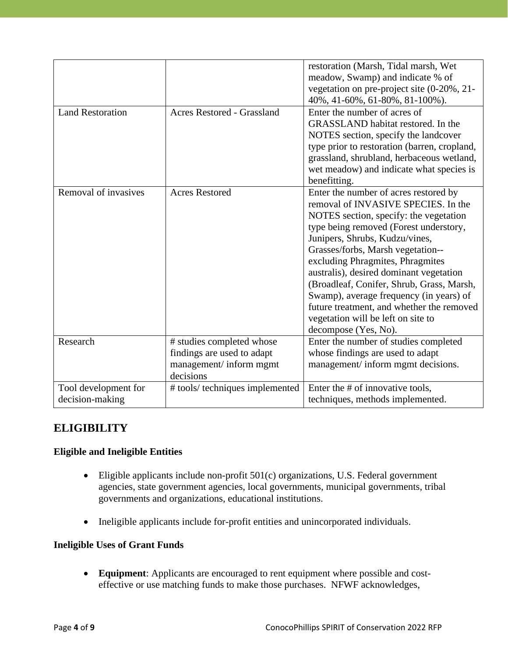|                         |                                   | restoration (Marsh, Tidal marsh, Wet<br>meadow, Swamp) and indicate % of<br>vegetation on pre-project site (0-20%, 21- |
|-------------------------|-----------------------------------|------------------------------------------------------------------------------------------------------------------------|
|                         |                                   | 40%, 41-60%, 61-80%, 81-100%).                                                                                         |
| <b>Land Restoration</b> | <b>Acres Restored - Grassland</b> | Enter the number of acres of                                                                                           |
|                         |                                   | GRASSLAND habitat restored. In the                                                                                     |
|                         |                                   | NOTES section, specify the landcover                                                                                   |
|                         |                                   | type prior to restoration (barren, cropland,                                                                           |
|                         |                                   | grassland, shrubland, herbaceous wetland,                                                                              |
|                         |                                   | wet meadow) and indicate what species is                                                                               |
|                         |                                   | benefitting.                                                                                                           |
| Removal of invasives    | <b>Acres Restored</b>             | Enter the number of acres restored by                                                                                  |
|                         |                                   | removal of INVASIVE SPECIES. In the                                                                                    |
|                         |                                   | NOTES section, specify: the vegetation                                                                                 |
|                         |                                   | type being removed (Forest understory,                                                                                 |
|                         |                                   | Junipers, Shrubs, Kudzu/vines,                                                                                         |
|                         |                                   | Grasses/forbs, Marsh vegetation--                                                                                      |
|                         |                                   | excluding Phragmites, Phragmites                                                                                       |
|                         |                                   | australis), desired dominant vegetation                                                                                |
|                         |                                   | (Broadleaf, Conifer, Shrub, Grass, Marsh,                                                                              |
|                         |                                   | Swamp), average frequency (in years) of                                                                                |
|                         |                                   | future treatment, and whether the removed                                                                              |
|                         |                                   | vegetation will be left on site to                                                                                     |
|                         |                                   | decompose (Yes, No).                                                                                                   |
| Research                | # studies completed whose         | Enter the number of studies completed                                                                                  |
|                         | findings are used to adapt        | whose findings are used to adapt                                                                                       |
|                         | management/inform mgmt            | management/ inform mgmt decisions.                                                                                     |
|                         | decisions                         |                                                                                                                        |
| Tool development for    | # tools/ techniques implemented   | Enter the # of innovative tools,                                                                                       |
| decision-making         |                                   | techniques, methods implemented.                                                                                       |

# **ELIGIBILITY**

#### **Eligible and Ineligible Entities**

- Eligible applicants include non-profit 501(c) organizations, U.S. Federal government agencies, state government agencies, local governments, municipal governments, tribal governments and organizations, educational institutions.
- Ineligible applicants include for-profit entities and unincorporated individuals.

#### **Ineligible Uses of Grant Funds**

• **Equipment**: Applicants are encouraged to rent equipment where possible and costeffective or use matching funds to make those purchases. NFWF acknowledges,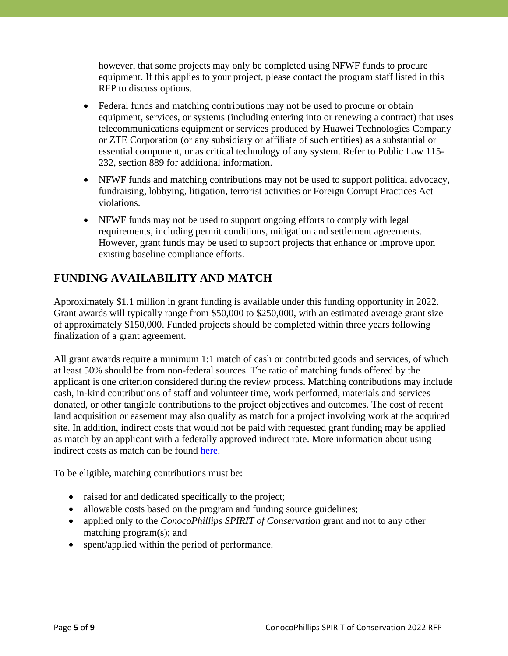however, that some projects may only be completed using NFWF funds to procure equipment. If this applies to your project, please contact the program staff listed in this RFP to discuss options.

- Federal funds and matching contributions may not be used to procure or obtain equipment, services, or systems (including entering into or renewing a contract) that uses telecommunications equipment or services produced by Huawei Technologies Company or ZTE Corporation (or any subsidiary or affiliate of such entities) as a substantial or essential component, or as critical technology of any system. Refer to Public Law 115- 232, section 889 for additional information.
- NFWF funds and matching contributions may not be used to support political advocacy, fundraising, lobbying, litigation, terrorist activities or Foreign Corrupt Practices Act violations.
- NFWF funds may not be used to support ongoing efforts to comply with legal requirements, including permit conditions, mitigation and settlement agreements. However, grant funds may be used to support projects that enhance or improve upon existing baseline compliance efforts.

### **FUNDING AVAILABILITY AND MATCH**

Approximately \$1.1 million in grant funding is available under this funding opportunity in 2022. Grant awards will typically range from \$50,000 to \$250,000, with an estimated average grant size of approximately \$150,000. Funded projects should be completed within three years following finalization of a grant agreement.

All grant awards require a minimum 1:1 match of cash or contributed goods and services, of which at least 50% should be from non-federal sources. The ratio of matching funds offered by the applicant is one criterion considered during the review process. Matching contributions may include cash, in-kind contributions of staff and volunteer time, work performed, materials and services donated, or other tangible contributions to the project objectives and outcomes. The cost of recent land acquisition or easement may also qualify as match for a project involving work at the acquired site. In addition, indirect costs that would not be paid with requested grant funding may be applied as match by an applicant with a federally approved indirect rate. More information about using indirect costs as match can be found [here.](https://www.nfwf.org/apply-grant/application-information/indirect-cost-policy)

To be eligible, matching contributions must be:

- raised for and dedicated specifically to the project;
- allowable costs based on the program and funding source guidelines;
- applied only to the *ConocoPhillips SPIRIT of Conservation* grant and not to any other matching program(s); and
- spent/applied within the period of performance.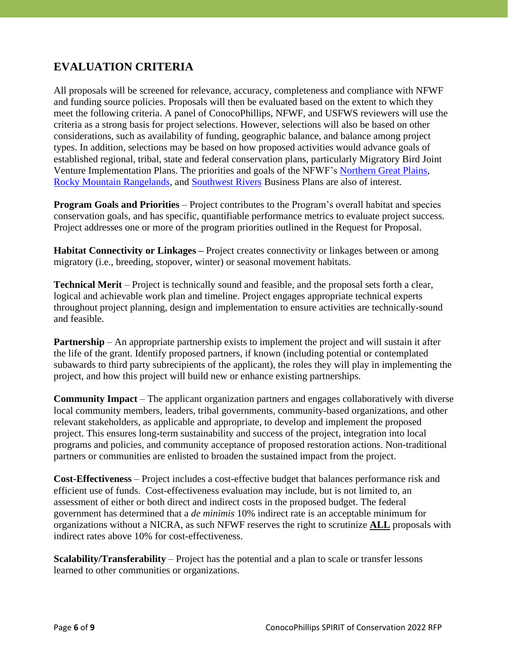### **EVALUATION CRITERIA**

All proposals will be screened for relevance, accuracy, completeness and compliance with NFWF and funding source policies. Proposals will then be evaluated based on the extent to which they meet the following criteria. A panel of ConocoPhillips, NFWF, and USFWS reviewers will use the criteria as a strong basis for project selections. However, selections will also be based on other considerations, such as availability of funding, geographic balance, and balance among project types. In addition, selections may be based on how proposed activities would advance goals of established regional, tribal, state and federal conservation plans, particularly Migratory Bird Joint Venture Implementation Plans. The priorities and goals of the NFWF's [Northern Great Plains,](https://www.nfwf.org/sites/default/files/greatplains/Documents/ngp_busplan_w.appendix.pdf) Rocky [Mountain Rangelands,](https://www.nfwf.org/sites/default/files/2021-06/Rocky%20Mountain%20Rangelands%20Business%20Plan.pdf) and [Southwest Rivers](https://www.nfwf.org/sites/default/files/2019-12/southwest-rivers-business-plan.pdf) Business Plans are also of interest.

**Program Goals and Priorities** – Project contributes to the Program's overall habitat and species conservation goals, and has specific, quantifiable performance metrics to evaluate project success. Project addresses one or more of the program priorities outlined in the Request for Proposal.

**Habitat Connectivity or Linkages –** Project creates connectivity or linkages between or among migratory (i.e., breeding, stopover, winter) or seasonal movement habitats.

**Technical Merit** – Project is technically sound and feasible, and the proposal sets forth a clear, logical and achievable work plan and timeline. Project engages appropriate technical experts throughout project planning, design and implementation to ensure activities are technically-sound and feasible.

**Partnership** – An appropriate partnership exists to implement the project and will sustain it after the life of the grant. Identify proposed partners, if known (including potential or contemplated subawards to third party subrecipients of the applicant), the roles they will play in implementing the project, and how this project will build new or enhance existing partnerships.

**Community Impact** – The applicant organization partners and engages collaboratively with diverse local community members, leaders, tribal governments, community-based organizations, and other relevant stakeholders, as applicable and appropriate, to develop and implement the proposed project. This ensures long-term sustainability and success of the project, integration into local programs and policies, and community acceptance of proposed restoration actions. Non-traditional partners or communities are enlisted to broaden the sustained impact from the project.

**Cost-Effectiveness** – Project includes a cost-effective budget that balances performance risk and efficient use of funds. Cost-effectiveness evaluation may include, but is not limited to, an assessment of either or both direct and indirect costs in the proposed budget. The federal government has determined that a *de minimis* 10% indirect rate is an acceptable minimum for organizations without a NICRA, as such NFWF reserves the right to scrutinize **ALL** proposals with indirect rates above 10% for cost-effectiveness.

**Scalability/Transferability** – Project has the potential and a plan to scale or transfer lessons learned to other communities or organizations.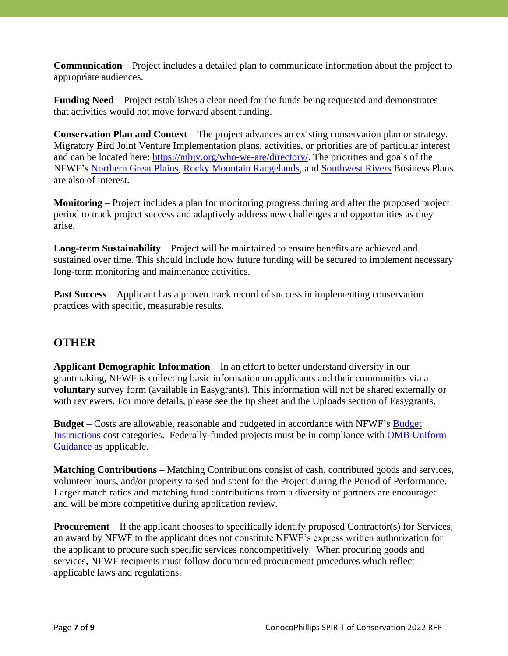**Communication** – Project includes a detailed plan to communicate information about the project to appropriate audiences.

**Funding Need** – Project establishes a clear need for the funds being requested and demonstrates that activities would not move forward absent funding.

**Conservation Plan and Context** – The project advances an existing conservation plan or strategy. Migratory Bird Joint Venture Implementation plans, activities, or priorities are of particular interest and can be located here: [https://mbjv.org/who-we-are/directory/.](https://mbjv.org/who-we-are/directory/) The priorities and goals of the NFWF's [Northern Great Plains,](https://www.nfwf.org/sites/default/files/greatplains/Documents/ngp_busplan_w.appendix.pdf) [Rocky Mountain Rangelands,](https://www.nfwf.org/sites/default/files/2021-06/Rocky%20Mountain%20Rangelands%20Business%20Plan.pdf) and [Southwest Rivers](https://www.nfwf.org/sites/default/files/2019-12/southwest-rivers-business-plan.pdf) Business Plans are also of interest.

**Monitoring** – Project includes a plan for monitoring progress during and after the proposed project period to track project success and adaptively address new challenges and opportunities as they arise.

**Long-term Sustainability** – Project will be maintained to ensure benefits are achieved and sustained over time. This should include how future funding will be secured to implement necessary long-term monitoring and maintenance activities.

**Past Success** – Applicant has a proven track record of success in implementing conservation practices with specific, measurable results.

#### **OTHER**

**Applicant Demographic Information** – In an effort to better understand diversity in our grantmaking, NFWF is collecting basic information on applicants and their communities via a **voluntary** survey form (available in Easygrants). This information will not be shared externally or with reviewers. For more details, please see the tip sheet and the Uploads section of Easygrants.

**Budget** – Costs are allowable, reasonable and budgeted in accordance with NFWF's [Budget](https://www.nfwf.org/apply-grant/application-information/budget-instructions)  [Instructions](https://www.nfwf.org/apply-grant/application-information/budget-instructions) cost categories. Federally-funded projects must be in compliance with [OMB Uniform](https://www.ecfr.gov/current/title-2/part-200)  [Guidance](https://www.ecfr.gov/current/title-2/part-200) as applicable.

**Matching Contributions** – Matching Contributions consist of cash, contributed goods and services, volunteer hours, and/or property raised and spent for the Project during the Period of Performance. Larger match ratios and matching fund contributions from a diversity of partners are encouraged and will be more competitive during application review.

**Procurement** – If the applicant chooses to specifically identify proposed Contractor(s) for Services, an award by NFWF to the applicant does not constitute NFWF's express written authorization for the applicant to procure such specific services noncompetitively. When procuring goods and services, NFWF recipients must follow documented procurement procedures which reflect applicable laws and regulations.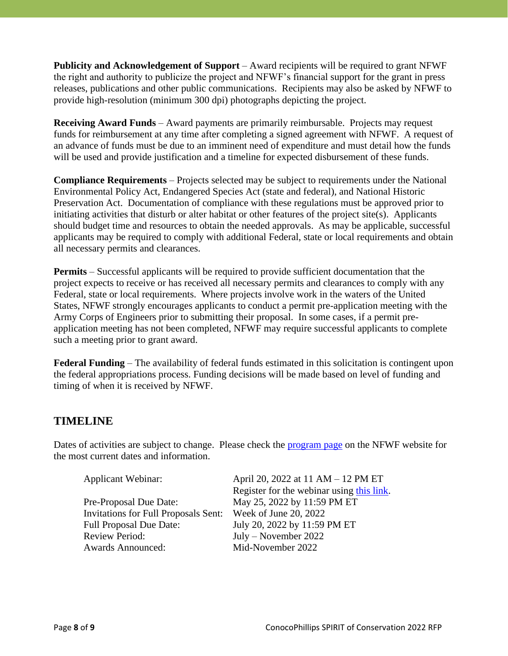**Publicity and Acknowledgement of Support** – Award recipients will be required to grant NFWF the right and authority to publicize the project and NFWF's financial support for the grant in press releases, publications and other public communications. Recipients may also be asked by NFWF to provide high-resolution (minimum 300 dpi) photographs depicting the project.

**Receiving Award Funds** – Award payments are primarily reimbursable. Projects may request funds for reimbursement at any time after completing a signed agreement with NFWF. A request of an advance of funds must be due to an imminent need of expenditure and must detail how the funds will be used and provide justification and a timeline for expected disbursement of these funds.

**Compliance Requirements** – Projects selected may be subject to requirements under the National Environmental Policy Act, Endangered Species Act (state and federal), and National Historic Preservation Act. Documentation of compliance with these regulations must be approved prior to initiating activities that disturb or alter habitat or other features of the project site(s). Applicants should budget time and resources to obtain the needed approvals. As may be applicable, successful applicants may be required to comply with additional Federal, state or local requirements and obtain all necessary permits and clearances.

**Permits** – Successful applicants will be required to provide sufficient documentation that the project expects to receive or has received all necessary permits and clearances to comply with any Federal, state or local requirements. Where projects involve work in the waters of the United States, NFWF strongly encourages applicants to conduct a permit pre-application meeting with the Army Corps of Engineers prior to submitting their proposal. In some cases, if a permit preapplication meeting has not been completed, NFWF may require successful applicants to complete such a meeting prior to grant award.

**Federal Funding** – The availability of federal funds estimated in this solicitation is contingent upon the federal appropriations process. Funding decisions will be made based on level of funding and timing of when it is received by NFWF.

#### **TIMELINE**

Dates of activities are subject to change. Please check the [program page](https://www.nfwf.org/programs/conocophillips-spirit-conservation-program) on the NFWF website for the most current dates and information.

| <b>Applicant Webinar:</b>                   | April 20, 2022 at 11 AM – 12 PM ET        |
|---------------------------------------------|-------------------------------------------|
|                                             | Register for the webinar using this link. |
| Pre-Proposal Due Date:                      | May 25, 2022 by 11:59 PM ET               |
| <b>Invitations for Full Proposals Sent:</b> | Week of June 20, 2022                     |
| <b>Full Proposal Due Date:</b>              | July 20, 2022 by 11:59 PM ET              |
| <b>Review Period:</b>                       | $July - November 2022$                    |
| <b>Awards Announced:</b>                    | Mid-November 2022                         |